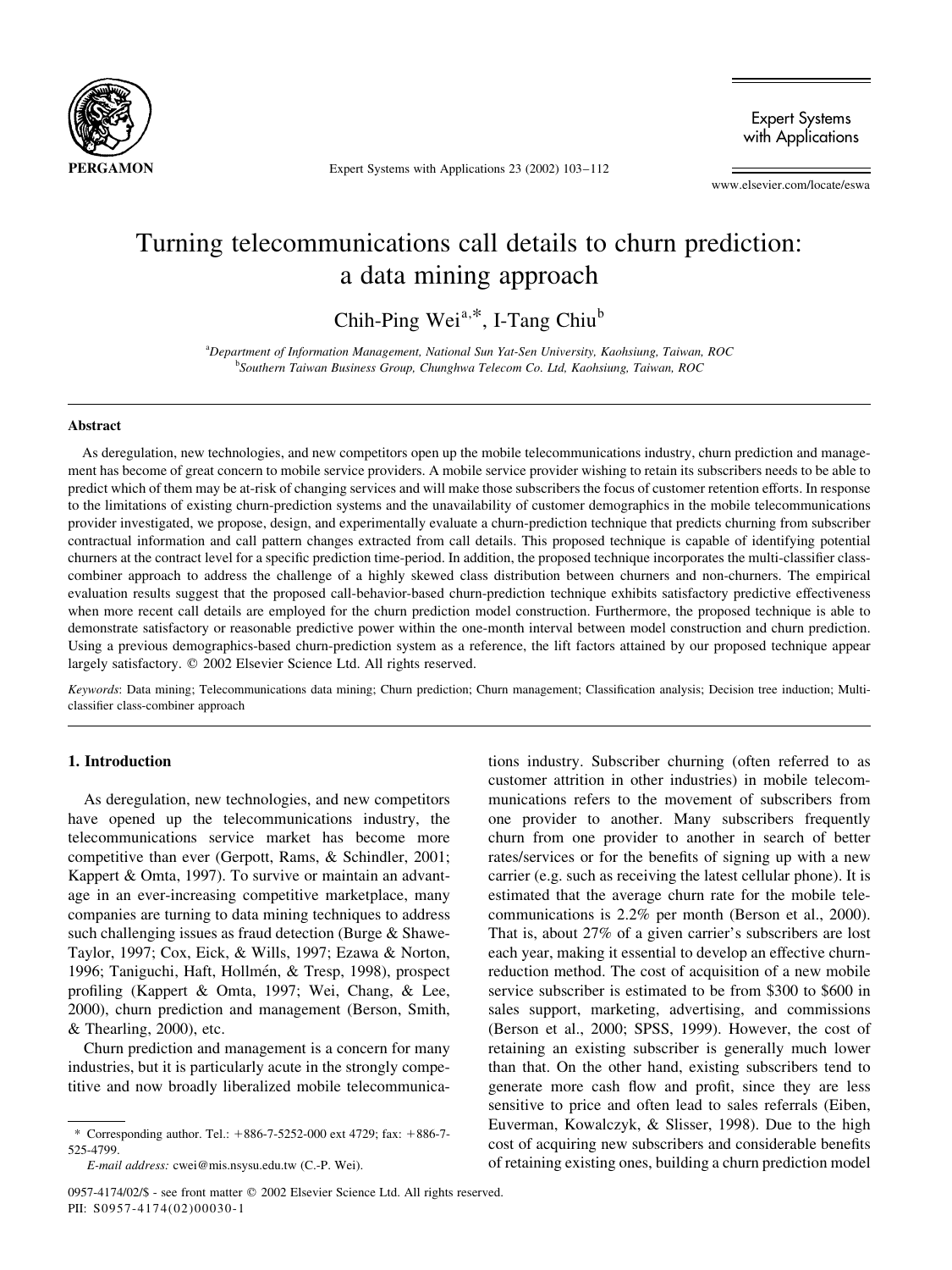

Expert Systems with Applications 23 (2002) 103-112

**Expert Systems** with Applications

www.elsevier.com/locate/eswa

# Turning telecommunications call details to churn prediction: a data mining approach

Chih-Ping Wei<sup>a,\*</sup>, I-Tang Chiu<sup>b</sup>

<sup>a</sup>Department of Information Management, National Sun Yat-Sen University, Kaohsiung, Taiwan, ROC <sup>b</sup>Southern Taiwan Business Group, Chunghwa Telecom Co. Ltd, Kaohsiung, Taiwan, ROC

#### Abstract

As deregulation, new technologies, and new competitors open up the mobile telecommunications industry, churn prediction and management has become of great concern to mobile service providers. A mobile service provider wishing to retain its subscribers needs to be able to predict which of them may be at-risk of changing services and will make those subscribers the focus of customer retention efforts. In response to the limitations of existing churn-prediction systems and the unavailability of customer demographics in the mobile telecommunications provider investigated, we propose, design, and experimentally evaluate a churn-prediction technique that predicts churning from subscriber contractual information and call pattern changes extracted from call details. This proposed technique is capable of identifying potential churners at the contract level for a specific prediction time-period. In addition, the proposed technique incorporates the multi-classifier classcombiner approach to address the challenge of a highly skewed class distribution between churners and non-churners. The empirical evaluation results suggest that the proposed call-behavior-based churn-prediction technique exhibits satisfactory predictive effectiveness when more recent call details are employed for the churn prediction model construction. Furthermore, the proposed technique is able to demonstrate satisfactory or reasonable predictive power within the one-month interval between model construction and churn prediction. Using a previous demographics-based churn-prediction system as a reference, the lift factors attained by our proposed technique appear largely satisfactory. © 2002 Elsevier Science Ltd. All rights reserved.

Keywords: Data mining; Telecommunications data mining; Churn prediction; Churn management; Classification analysis; Decision tree induction; Multiclassifier class-combiner approach

### 1. Introduction

As deregulation, new technologies, and new competitors have opened up the telecommunications industry, the telecommunications service market has become more competitive than ever (Gerpott, Rams, & Schindler, 2001; Kappert & Omta, 1997). To survive or maintain an advantage in an ever-increasing competitive marketplace, many companies are turning to data mining techniques to address such challenging issues as fraud detection (Burge & Shawe-Taylor, 1997; Cox, Eick, & Wills, 1997; Ezawa & Norton, 1996; Taniguchi, Haft, Hollmén, & Tresp, 1998), prospect profiling (Kappert & Omta, 1997; Wei, Chang, & Lee, 2000), churn prediction and management (Berson, Smith, & Thearling, 2000), etc.

Churn prediction and management is a concern for many industries, but it is particularly acute in the strongly competitive and now broadly liberalized mobile telecommunica-

0957-4174/02/\$ - see front matter © 2002 Elsevier Science Ltd. All rights reserved. PII: S0957-4174(02)00030-1

tions industry. Subscriber churning (often referred to as customer attrition in other industries) in mobile telecommunications refers to the movement of subscribers from one provider to another. Many subscribers frequently churn from one provider to another in search of better rates/services or for the benefits of signing up with a new carrier (e.g. such as receiving the latest cellular phone). It is estimated that the average churn rate for the mobile telecommunications is 2.2% per month (Berson et al., 2000). That is, about 27% of a given carrier's subscribers are lost each year, making it essential to develop an effective churnreduction method. The cost of acquisition of a new mobile service subscriber is estimated to be from \$300 to \$600 in sales support, marketing, advertising, and commissions (Berson et al., 2000; SPSS, 1999). However, the cost of retaining an existing subscriber is generally much lower than that. On the other hand, existing subscribers tend to generate more cash flow and profit, since they are less sensitive to price and often lead to sales referrals (Eiben, Euverman, Kowalczyk, & Slisser, 1998). Due to the high cost of acquiring new subscribers and considerable benefits of retaining existing ones, building a churn prediction model

<sup>\*</sup> Corresponding author. Tel.:  $+886-7-5252-000$  ext 4729; fax:  $+886-7-$ 525-4799

E-mail address: cwei@mis.nsysu.edu.tw (C.-P. Wei).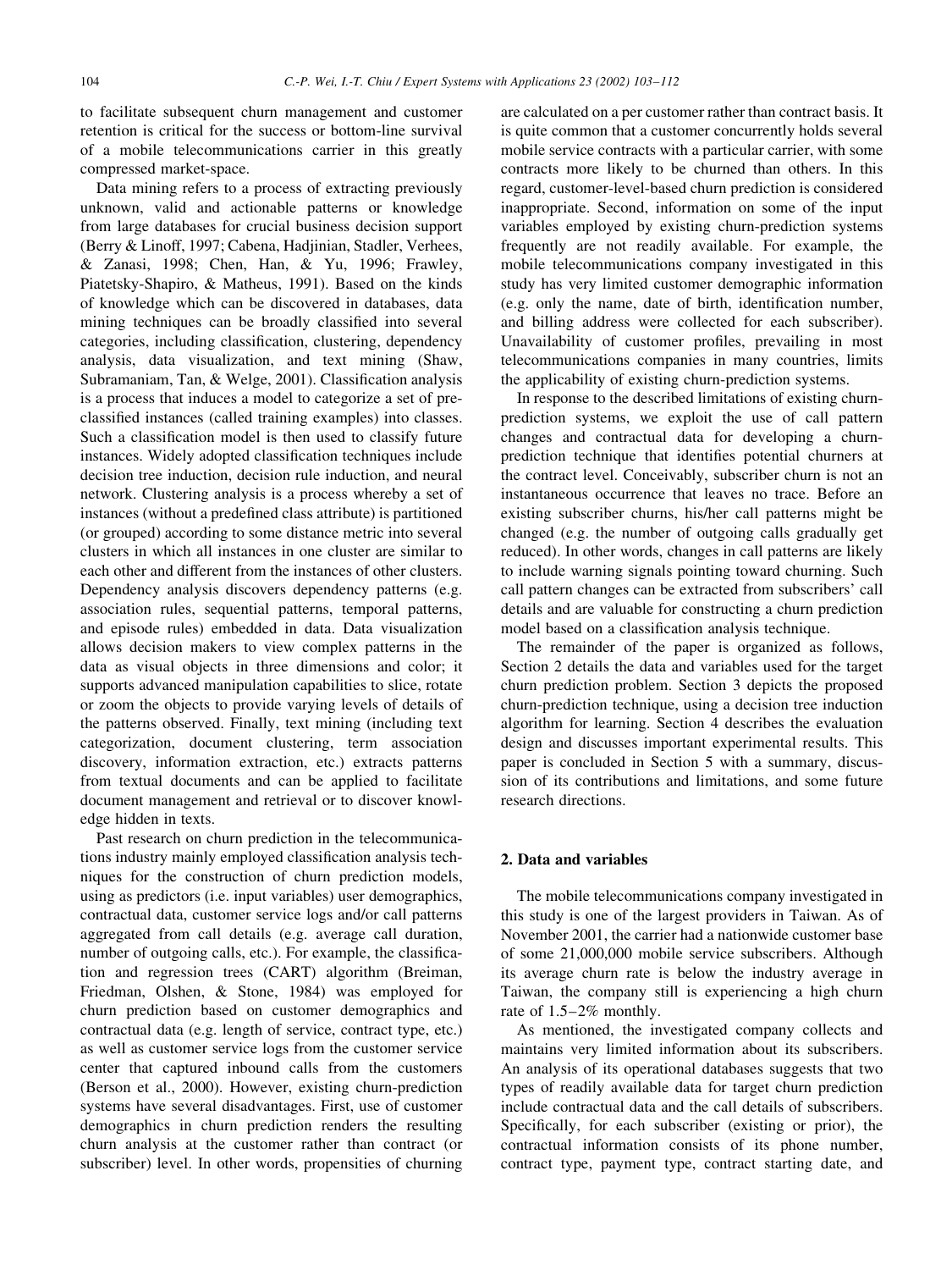to facilitate subsequent churn management and customer retention is critical for the success or bottom-line survival of a mobile telecommunications carrier in this greatly compressed market-space.

Data mining refers to a process of extracting previously unknown, valid and actionable patterns or knowledge from large databases for crucial business decision support (Berry & Linoff, 1997; Cabena, Hadjinian, Stadler, Verhees, & Zanasi, 1998; Chen, Han, & Yu, 1996; Frawley, Piatetsky-Shapiro, & Matheus, 1991). Based on the kinds of knowledge which can be discovered in databases, data mining techniques can be broadly classified into several categories, including classification, clustering, dependency analysis, data visualization, and text mining (Shaw, Subramaniam, Tan, & Welge, 2001). Classification analysis is a process that induces a model to categorize a set of preclassified instances (called training examples) into classes. Such a classification model is then used to classify future instances. Widely adopted classification techniques include decision tree induction, decision rule induction, and neural network. Clustering analysis is a process whereby a set of instances (without a predefined class attribute) is partitioned (or grouped) according to some distance metric into several clusters in which all instances in one cluster are similar to each other and different from the instances of other clusters. Dependency analysis discovers dependency patterns (e.g. association rules, sequential patterns, temporal patterns, and episode rules) embedded in data. Data visualization allows decision makers to view complex patterns in the data as visual objects in three dimensions and color; it supports advanced manipulation capabilities to slice, rotate or zoom the objects to provide varying levels of details of the patterns observed. Finally, text mining (including text) categorization, document clustering, term association discovery, information extraction, etc.) extracts patterns from textual documents and can be applied to facilitate document management and retrieval or to discover knowledge hidden in texts.

Past research on churn prediction in the telecommunications industry mainly employed classification analysis techniques for the construction of churn prediction models, using as predictors (i.e. input variables) user demographics, contractual data, customer service logs and/or call patterns aggregated from call details (e.g. average call duration, number of outgoing calls, etc.). For example, the classification and regression trees (CART) algorithm (Breiman, Friedman, Olshen, & Stone, 1984) was employed for churn prediction based on customer demographics and contractual data (e.g. length of service, contract type, etc.) as well as customer service logs from the customer service center that captured inbound calls from the customers (Berson et al., 2000). However, existing churn-prediction systems have several disadvantages. First, use of customer demographics in churn prediction renders the resulting churn analysis at the customer rather than contract (or subscriber) level. In other words, propensities of churning are calculated on a per customer rather than contract basis. It is quite common that a customer concurrently holds several mobile service contracts with a particular carrier, with some contracts more likely to be churned than others. In this regard, customer-level-based churn prediction is considered inappropriate. Second, information on some of the input variables employed by existing churn-prediction systems frequently are not readily available. For example, the mobile telecommunications company investigated in this study has very limited customer demographic information (e.g. only the name, date of birth, identification number, and billing address were collected for each subscriber). Unavailability of customer profiles, prevailing in most telecommunications companies in many countries, limits the applicability of existing churn-prediction systems.

In response to the described limitations of existing churnprediction systems, we exploit the use of call pattern changes and contractual data for developing a churnprediction technique that identifies potential churners at the contract level. Conceivably, subscriber churn is not an instantaneous occurrence that leaves no trace. Before an existing subscriber churns, his/her call patterns might be changed (e.g. the number of outgoing calls gradually get reduced). In other words, changes in call patterns are likely to include warning signals pointing toward churning. Such call pattern changes can be extracted from subscribers' call details and are valuable for constructing a churn prediction model based on a classification analysis technique.

The remainder of the paper is organized as follows, Section 2 details the data and variables used for the target churn prediction problem. Section 3 depicts the proposed churn-prediction technique, using a decision tree induction algorithm for learning. Section 4 describes the evaluation design and discusses important experimental results. This paper is concluded in Section 5 with a summary, discussion of its contributions and limitations, and some future research directions.

### 2. Data and variables

The mobile telecommunications company investigated in this study is one of the largest providers in Taiwan. As of November 2001, the carrier had a nationwide customer base of some 21,000,000 mobile service subscribers. Although its average churn rate is below the industry average in Taiwan, the company still is experiencing a high churn rate of  $1.5-2\%$  monthly.

As mentioned, the investigated company collects and maintains very limited information about its subscribers. An analysis of its operational databases suggests that two types of readily available data for target churn prediction include contractual data and the call details of subscribers. Specifically, for each subscriber (existing or prior), the contractual information consists of its phone number, contract type, payment type, contract starting date, and